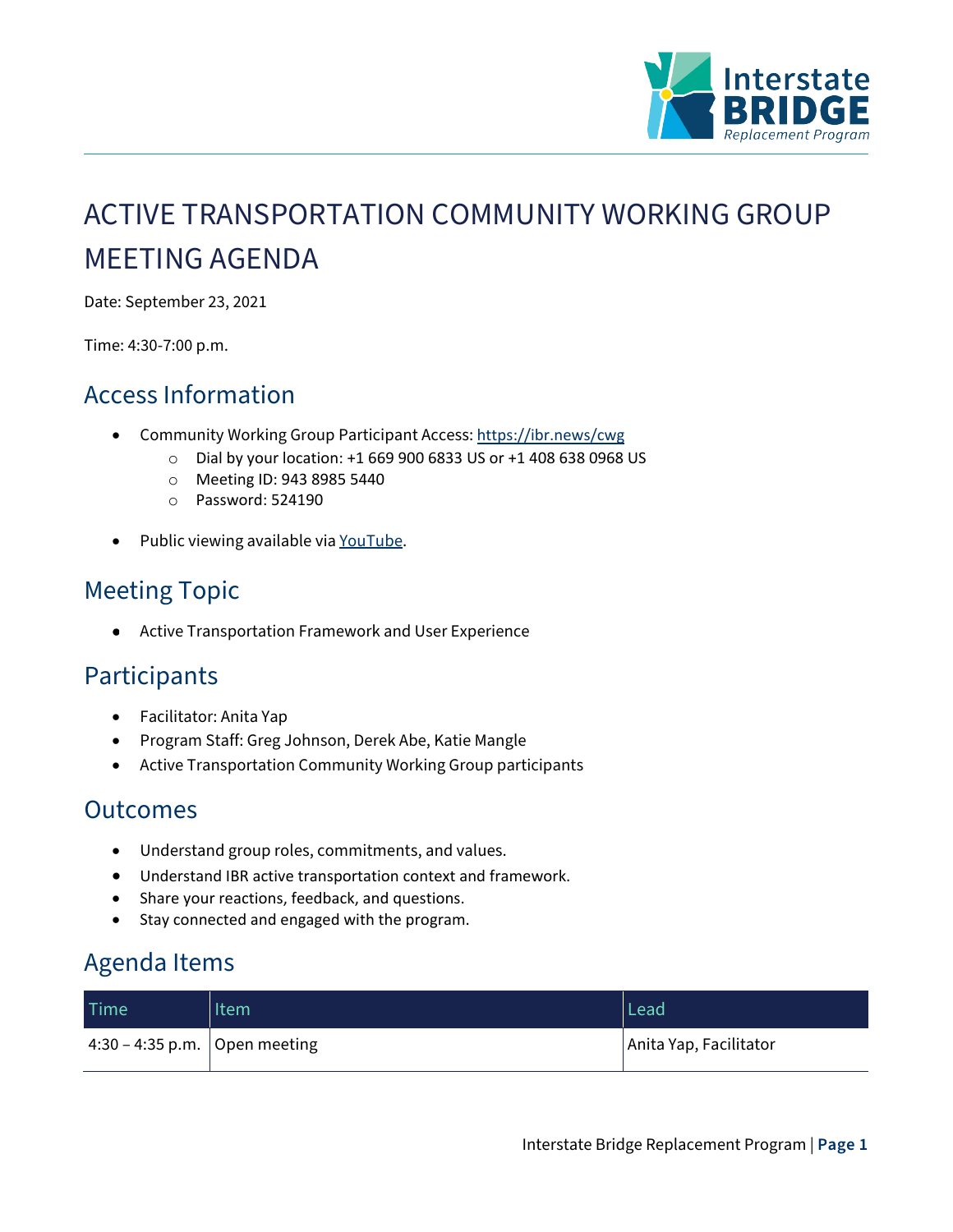

# ACTIVE TRANSPORTATION COMMUNITY WORKING GROUP MEETING AGENDA

Date: September 23, 2021

Time: 4:30-7:00 p.m.

### Access Information

- Community Working Group Participant Access: <https://ibr.news/cwg>
	- o Dial by your location: +1 669 900 6833 US or +1 408 638 0968 US
	- o Meeting ID: 943 8985 5440
	- o Password: 524190
- Public viewing available via [YouTube.](https://www.youtube.com/c/IBRProgram)

## Meeting Topic

Active Transportation Framework and User Experience  $\bullet$ 

#### **Participants**

- Facilitator: Anita Yap
- Program Staff: Greg Johnson, Derek Abe, Katie Mangle
- Active Transportation Community Working Group participants

#### **Outcomes**

- Understand group roles, commitments, and values.
- Understand IBR active transportation context and framework.
- Share your reactions, feedback, and questions.
- Stay connected and engaged with the program.

#### Agenda Items

| <b>Time</b>                     | Item | Lead                   |
|---------------------------------|------|------------------------|
| 4:30 – 4:35 p.m.   Open meeting |      | Anita Yap, Facilitator |